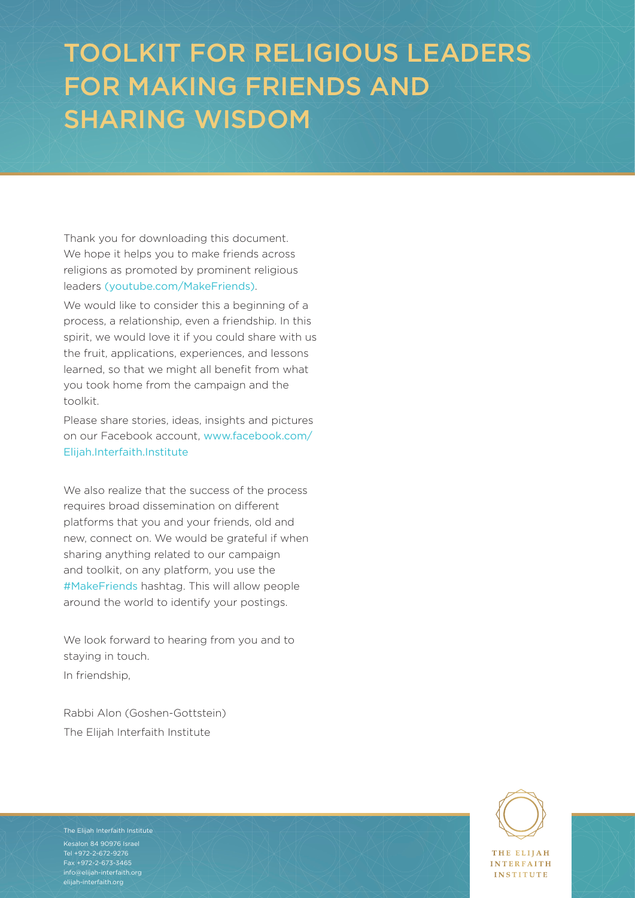# TOOLKIT FOR RELIGIOUS LEADERS FOR MAKING FRIENDS AND SHARING WISDOM

Thank you for downloading this document. We hope it helps you to make friends across religions as promoted by prominent religious leaders [\(youtube.com/MakeFriends\)](https://www.youtube.com/MakeFriends).

We would like to consider this a beginning of a process, a relationship, even a friendship. In this spirit, we would love it if you could share with us the fruit, applications, experiences, and lessons learned, so that we might all benefit from what you took home from the campaign and the toolkit.

Please share stories, ideas, insights and pictures on our Facebook account, [www.facebook.com/](https://www.facebook.com/Elijah.Interfaith.Institute) [Elijah.Interfaith.Institute](https://www.facebook.com/Elijah.Interfaith.Institute)

We also realize that the success of the process requires broad dissemination on different platforms that you and your friends, old and new, connect on. We would be grateful if when sharing anything related to our campaign and toolkit, on any platform, you use the #MakeFriends hashtag. This will allow people around the world to identify your postings.

We look forward to hearing from you and to staying in touch. In friendship,

Rabbi Alon (Goshen-Gottstein) The Elijah Interfaith Institute

 $\frac{1}{\text{Kesalon 84 90976 1}$  For Religious Leaders For  $\frac{1}{\text{Kerff}}$   $\frac{1}{\text{Kerff}}$   $\frac{1}{\text{Kerff}}$   $\frac{1}{\text{Kerff}}$   $\frac{1}{\text{Kerff}}$   $\frac{1}{\text{Kerff}}$   $\frac{1}{\text{Kerff}}$   $\frac{1}{\text{Kerff}}$   $\frac{1}{\text{Kerff}}$   $\frac{1}{\text{Kerff}}$   $\frac{1}{\text{Kerff}}$   $\frac{$ Fax +972-2-673-3465<br>Fax +972-2-673-3465<br>Fax +972-2-673-3465 The Elijah Interfaith Institute Tel +972-2-672-9276 [info@elijah-interfaith.org](mailto:info%40elijah-interfaith.org?subject=) [elijah-interfaith.org](http://elijah-interfaith.org)



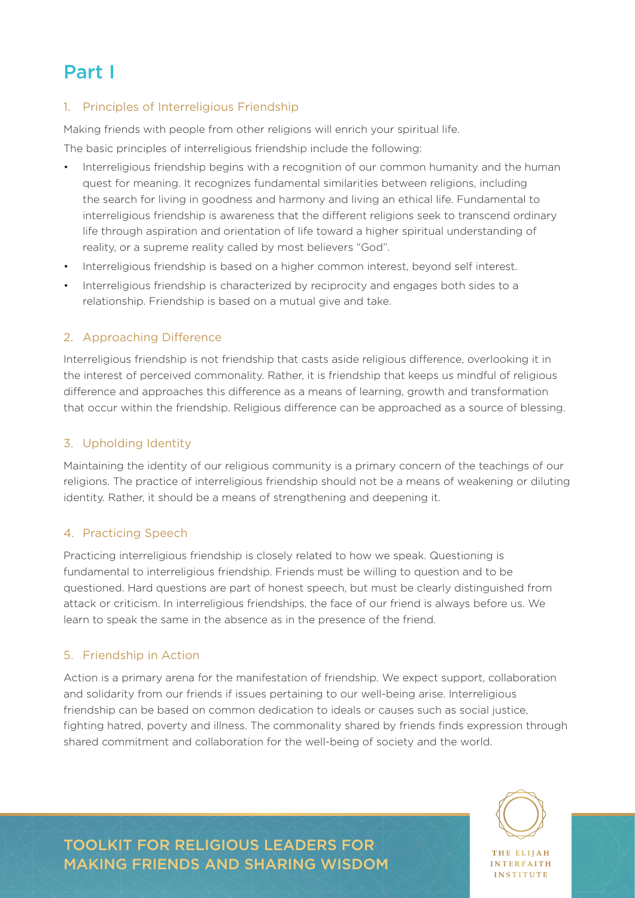### Part I

#### 1. Principles of Interreligious Friendship

Making friends with people from other religions will enrich your spiritual life.

The basic principles of interreligious friendship include the following:

- Interreligious friendship begins with a recognition of our common humanity and the human quest for meaning. It recognizes fundamental similarities between religions, including the search for living in goodness and harmony and living an ethical life. Fundamental to interreligious friendship is awareness that the different religions seek to transcend ordinary life through aspiration and orientation of life toward a higher spiritual understanding of reality, or a supreme reality called by most believers "God".
- Interreligious friendship is based on a higher common interest, beyond self interest.
- Interreligious friendship is characterized by reciprocity and engages both sides to a relationship. Friendship is based on a mutual give and take.

### 2. Approaching Difference

Interreligious friendship is not friendship that casts aside religious difference, overlooking it in the interest of perceived commonality. Rather, it is friendship that keeps us mindful of religious difference and approaches this difference as a means of learning, growth and transformation that occur within the friendship. Religious difference can be approached as a source of blessing.

#### 3. Upholding Identity

Maintaining the identity of our religious community is a primary concern of the teachings of our religions. The practice of interreligious friendship should not be a means of weakening or diluting identity. Rather, it should be a means of strengthening and deepening it.

#### 4. Practicing Speech

Practicing interreligious friendship is closely related to how we speak. Questioning is fundamental to interreligious friendship. Friends must be willing to question and to be questioned. Hard questions are part of honest speech, but must be clearly distinguished from attack or criticism. In interreligious friendships, the face of our friend is always before us. We learn to speak the same in the absence as in the presence of the friend.

#### 5. Friendship in Action

Action is a primary arena for the manifestation of friendship. We expect support, collaboration and solidarity from our friends if issues pertaining to our well-being arise. Interreligious friendship can be based on common dedication to ideals or causes such as social justice, fighting hatred, poverty and illness. The commonality shared by friends finds expression through shared commitment and collaboration for the well-being of society and the world.



TOOLKIT FOR RELIGIOUS LEADERS FOR MAKING FRIENDS AND SHARING WISDOM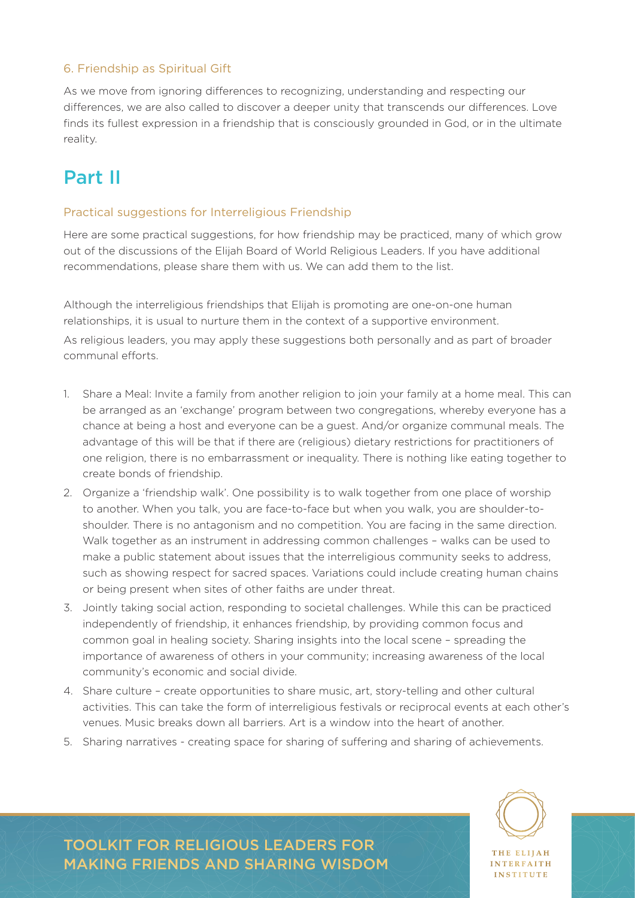#### 6. Friendship as Spiritual Gift

As we move from ignoring differences to recognizing, understanding and respecting our differences, we are also called to discover a deeper unity that transcends our differences. Love finds its fullest expression in a friendship that is consciously grounded in God, or in the ultimate reality.

### Part II

#### Practical suggestions for Interreligious Friendship

Here are some practical suggestions, for how friendship may be practiced, many of which grow out of the discussions of the Elijah Board of World Religious Leaders. If you have additional recommendations, please share them with us. We can add them to the list.

Although the interreligious friendships that Elijah is promoting are one-on-one human relationships, it is usual to nurture them in the context of a supportive environment. As religious leaders, you may apply these suggestions both personally and as part of broader communal efforts.

- 1. Share a Meal: Invite a family from another religion to join your family at a home meal. This can be arranged as an 'exchange' program between two congregations, whereby everyone has a chance at being a host and everyone can be a guest. And/or organize communal meals. The advantage of this will be that if there are (religious) dietary restrictions for practitioners of one religion, there is no embarrassment or inequality. There is nothing like eating together to create bonds of friendship.
- 2. Organize a 'friendship walk'. One possibility is to walk together from one place of worship to another. When you talk, you are face-to-face but when you walk, you are shoulder-toshoulder. There is no antagonism and no competition. You are facing in the same direction. Walk together as an instrument in addressing common challenges – walks can be used to make a public statement about issues that the interreligious community seeks to address, such as showing respect for sacred spaces. Variations could include creating human chains or being present when sites of other faiths are under threat.
- 3. Jointly taking social action, responding to societal challenges. While this can be practiced independently of friendship, it enhances friendship, by providing common focus and common goal in healing society. Sharing insights into the local scene – spreading the importance of awareness of others in your community; increasing awareness of the local community's economic and social divide.
- 4. Share culture create opportunities to share music, art, story-telling and other cultural activities. This can take the form of interreligious festivals or reciprocal events at each other's venues. Music breaks down all barriers. Art is a window into the heart of another.
- 5. Sharing narratives creating space for sharing of suffering and sharing of achievements.



TOOLKIT FOR RELIGIOUS LEADERS FOR MAKING FRIENDS AND SHARING WISDOM

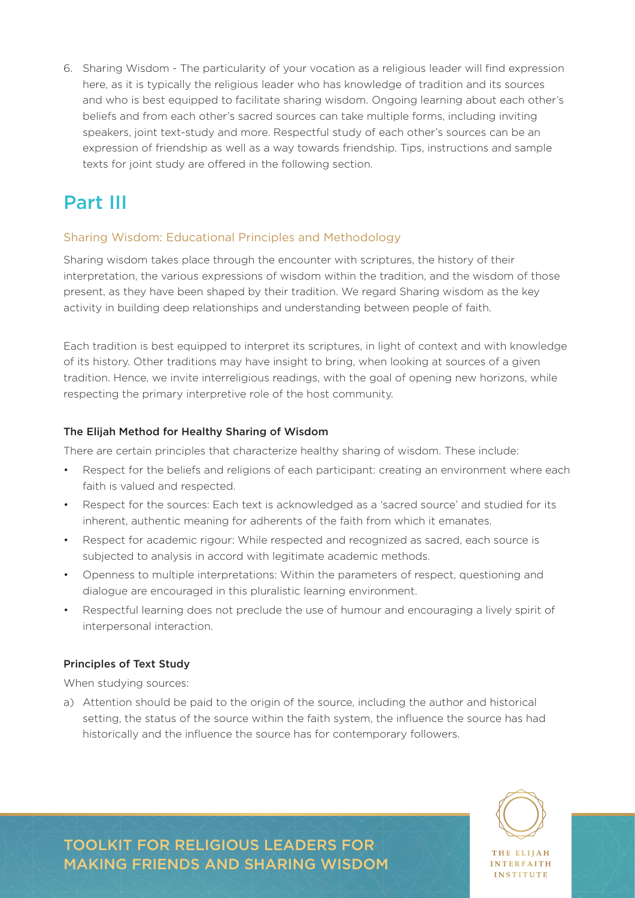6. Sharing Wisdom - The particularity of your vocation as a religious leader will find expression here, as it is typically the religious leader who has knowledge of tradition and its sources and who is best equipped to facilitate sharing wisdom. Ongoing learning about each other's beliefs and from each other's sacred sources can take multiple forms, including inviting speakers, joint text-study and more. Respectful study of each other's sources can be an expression of friendship as well as a way towards friendship. Tips, instructions and sample texts for joint study are offered in the following section.

## Part III

### Sharing Wisdom: Educational Principles and Methodology

Sharing wisdom takes place through the encounter with scriptures, the history of their interpretation, the various expressions of wisdom within the tradition, and the wisdom of those present, as they have been shaped by their tradition. We regard Sharing wisdom as the key activity in building deep relationships and understanding between people of faith.

Each tradition is best equipped to interpret its scriptures, in light of context and with knowledge of its history. Other traditions may have insight to bring, when looking at sources of a given tradition. Hence, we invite interreligious readings, with the goal of opening new horizons, while respecting the primary interpretive role of the host community.

#### The Elijah Method for Healthy Sharing of Wisdom

There are certain principles that characterize healthy sharing of wisdom. These include:

- Respect for the beliefs and religions of each participant: creating an environment where each faith is valued and respected.
- Respect for the sources: Each text is acknowledged as a 'sacred source' and studied for its inherent, authentic meaning for adherents of the faith from which it emanates.
- Respect for academic rigour: While respected and recognized as sacred, each source is subjected to analysis in accord with legitimate academic methods.
- Openness to multiple interpretations: Within the parameters of respect, questioning and dialogue are encouraged in this pluralistic learning environment.
- Respectful learning does not preclude the use of humour and encouraging a lively spirit of interpersonal interaction.

#### Principles of Text Study

When studying sources:

a) Attention should be paid to the origin of the source, including the author and historical setting, the status of the source within the faith system, the influence the source has had historically and the influence the source has for contemporary followers.



**INTEREAITH INSTITUTE** 

TOOLKIT FOR RELIGIOUS LEADERS FOR MAKING FRIENDS AND SHARING WISDOM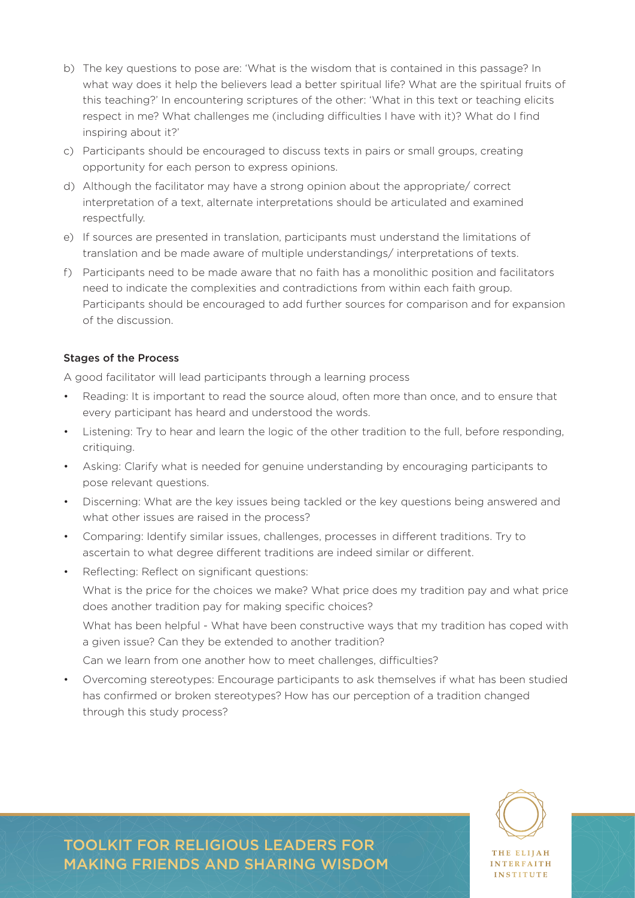- b) The key questions to pose are: 'What is the wisdom that is contained in this passage? In what way does it help the believers lead a better spiritual life? What are the spiritual fruits of this teaching?' In encountering scriptures of the other: 'What in this text or teaching elicits respect in me? What challenges me (including difficulties I have with it)? What do I find inspiring about it?'
- c) Participants should be encouraged to discuss texts in pairs or small groups, creating opportunity for each person to express opinions.
- d) Although the facilitator may have a strong opinion about the appropriate/ correct interpretation of a text, alternate interpretations should be articulated and examined respectfully.
- e) If sources are presented in translation, participants must understand the limitations of translation and be made aware of multiple understandings/ interpretations of texts.
- f) Participants need to be made aware that no faith has a monolithic position and facilitators need to indicate the complexities and contradictions from within each faith group. Participants should be encouraged to add further sources for comparison and for expansion of the discussion.

#### Stages of the Process

A good facilitator will lead participants through a learning process

- Reading: It is important to read the source aloud, often more than once, and to ensure that every participant has heard and understood the words.
- Listening: Try to hear and learn the logic of the other tradition to the full, before responding, critiquing.
- Asking: Clarify what is needed for genuine understanding by encouraging participants to pose relevant questions.
- Discerning: What are the key issues being tackled or the key questions being answered and what other issues are raised in the process?
- Comparing: Identify similar issues, challenges, processes in different traditions. Try to ascertain to what degree different traditions are indeed similar or different.
- Reflecting: Reflect on significant questions:

What is the price for the choices we make? What price does my tradition pay and what price does another tradition pay for making specific choices?

What has been helpful - What have been constructive ways that my tradition has coped with a given issue? Can they be extended to another tradition?

Can we learn from one another how to meet challenges, difficulties?

TOOLKIT FOR RELIGIOUS LEADERS FOR MAKING FRIENDS AND SHARING WISDOM

• Overcoming stereotypes: Encourage participants to ask themselves if what has been studied has confirmed or broken stereotypes? How has our perception of a tradition changed through this study process?

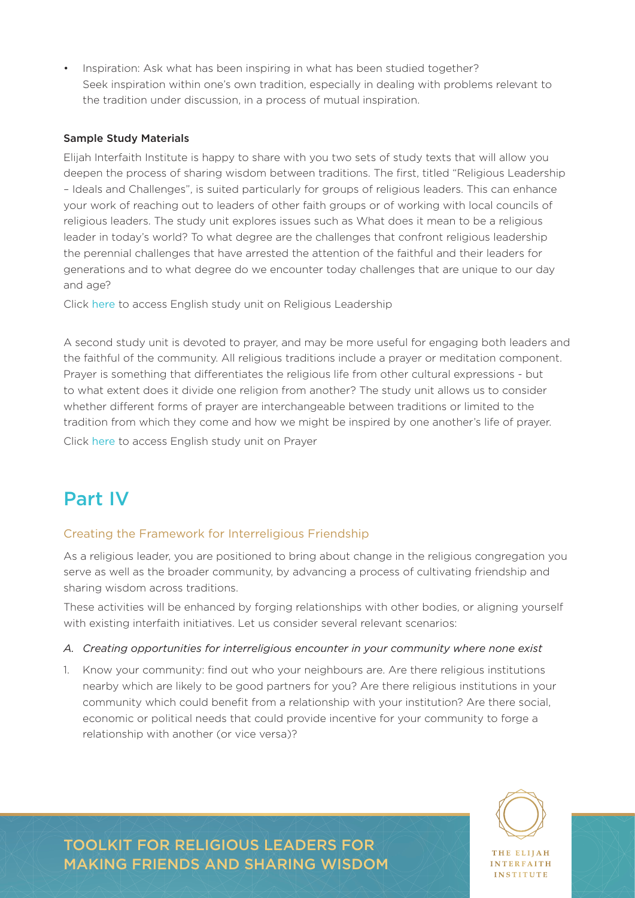• Inspiration: Ask what has been inspiring in what has been studied together? Seek inspiration within one's own tradition, especially in dealing with problems relevant to the tradition under discussion, in a process of mutual inspiration.

#### Sample Study Materials

Elijah Interfaith Institute is happy to share with you two sets of study texts that will allow you deepen the process of sharing wisdom between traditions. The first, titled "Religious Leadership – Ideals and Challenges", is suited particularly for groups of religious leaders. This can enhance your work of reaching out to leaders of other faith groups or of working with local councils of religious leaders. The study unit explores issues such as What does it mean to be a religious leader in today's world? To what degree are the challenges that confront religious leadership the perennial challenges that have arrested the attention of the faithful and their leaders for generations and to what degree do we encounter today challenges that are unique to our day and age?

Click [here](https://drive.google.com/drive/folders/0B0yNvkJwwzK9TU5LM21xdHFyWkU?usp=sharing) to access English study unit on Religious Leadership

A second study unit is devoted to prayer, and may be more useful for engaging both leaders and the faithful of the community. All religious traditions include a prayer or meditation component. Prayer is something that differentiates the religious life from other cultural expressions - but to what extent does it divide one religion from another? The study unit allows us to consider whether different forms of prayer are interchangeable between traditions or limited to the tradition from which they come and how we might be inspired by one another's life of prayer. Click [here](https://drive.google.com/drive/folders/0B0yNvkJwwzK9TU5LM21xdHFyWkU?usp=sharing) to access English study unit on Prayer

### Part IV

#### Creating the Framework for Interreligious Friendship

As a religious leader, you are positioned to bring about change in the religious congregation you serve as well as the broader community, by advancing a process of cultivating friendship and sharing wisdom across traditions.

These activities will be enhanced by forging relationships with other bodies, or aligning yourself with existing interfaith initiatives. Let us consider several relevant scenarios:

#### *A. Creating opportunities for interreligious encounter in your community where none exist*

1. Know your community: find out who your neighbours are. Are there religious institutions nearby which are likely to be good partners for you? Are there religious institutions in your community which could benefit from a relationship with your institution? Are there social, economic or political needs that could provide incentive for your community to forge a relationship with another (or vice versa)?

TOOLKIT FOR RELIGIOUS LEADERS FOR MAKING FRIENDS AND SHARING WISDOM